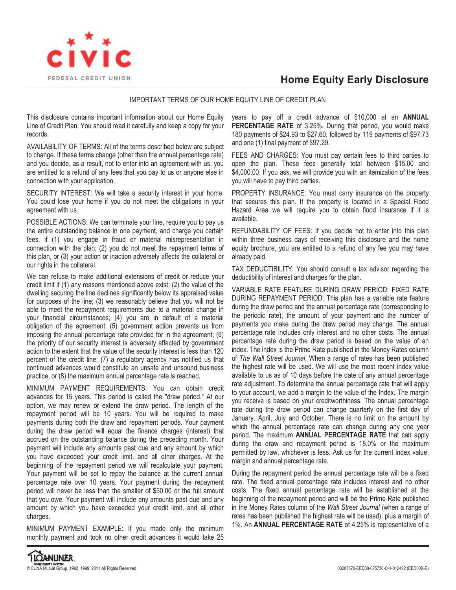

## **Home Equity Early Disclosure**

## IMPORTANT TERMS OF OUR HOME EQUITY LINE OF CREDIT PLAN

This disclosure contains important information about our Home Equity Line of Credit Plan. You should read it carefully and keep a copy for your records.

AVAILABILITY OF TERMS: All of the terms described below are subject to change. If these terms change (other than the annual percentage rate) and you decide, as a result, not to enter into an agreement with us, you are entitled to a refund of any fees that you pay to us or anyone else in connection with your application.

SECURITY INTEREST: We will take a security interest in your home. You could lose your home if you do not meet the obligations in your agreement with us.

POSSIBLE ACTIONS: We can terminate your line, require you to pay us the entire outstanding balance in one payment, and charge you certain fees, if (1) you engage in fraud or material misrepresentation in connection with the plan; (2) you do not meet the repayment terms of this plan, or (3) your action or inaction adversely affects the collateral or our rights in the collateral.

We can refuse to make additional extensions of credit or reduce your credit limit if (1) any reasons mentioned above exist; (2) the value of the dwelling securing the line declines significantly below its appraised value for purposes of the line; (3) we reasonably believe that you will not be able to meet the repayment requirements due to a material change in your financial circumstances; (4) you are in default of a material obligation of the agreement; (5) government action prevents us from imposing the annual percentage rate provided for in the agreement; (6) the priority of our security interest is adversely affected by government action to the extent that the value of the security interest is less than 120 percent of the credit line; (7) a regulatory agency has notified us that continued advances would constitute an unsafe and unsound business practice, or (8) the maximum annual percentage rate is reached.

MINIMUM PAYMENT REQUIREMENTS: You can obtain credit advances for 15 years. This period is called the "draw period." At our option, we may renew or extend the draw period. The length of the repayment period will be 10 years. You will be required to make payments during both the draw and repayment periods. Your payment during the draw period will equal the finance charges (interest) that accrued on the outstanding balance during the preceding month. Your payment will include any amounts past due and any amount by which you have exceeded your credit limit, and all other charges. At the beginning of the repayment period we will recalculate your payment. Your payment will be set to repay the balance at the current annual percentage rate over 10 years. Your payment during the repayment period will never be less than the smaller of \$50.00 or the full amount that you owe. Your payment will include any amounts past due and any amount by which you have exceeded your credit limit, and all other charges.

MINIMUM PAYMENT EXAMPLE: If you made only the minimum monthly payment and took no other credit advances it would take 25

years to pay off a credit advance of \$10,000 at an **ANNUAL PERCENTAGE RATE** of 3.25%. During that period, you would make 180 payments of \$24.93 to \$27.60, followed by 119 payments of \$97.73 and one (1) final payment of \$97.29.

FEES AND CHARGES: You must pay certain fees to third parties to open the plan. These fees generally total between \$15.00 and \$4,000.00. If you ask, we will provide you with an itemization of the fees you will have to pay third parties.

PROPERTY INSURANCE: You must carry insurance on the property that secures this plan. If the property is located in a Special Flood Hazard Area we will require you to obtain flood insurance if it is available.

REFUNDABILITY OF FEES: If you decide not to enter into this plan within three business days of receiving this disclosure and the home equity brochure, you are entitled to a refund of any fee you may have already paid.

TAX DEDUCTIBILITY: You should consult a tax advisor regarding the deductibility of interest and charges for the plan.

VARIABLE RATE FEATURE DURING DRAW PERIOD; FIXED RATE DURING REPAYMENT PERIOD: This plan has a variable rate feature during the draw period and the annual percentage rate (corresponding to the periodic rate), the amount of your payment and the number of payments you make during the draw period may change. The annual percentage rate includes only interest and no other costs. The annual percentage rate during the draw period is based on the value of an index. The index is the Prime Rate published in the Money Rates column of *The Wall Street Journal*. When a range of rates has been published the highest rate will be used. We will use the most recent index value available to us as of 10 days before the date of any annual percentage rate adjustment. To determine the annual percentage rate that will apply to your account, we add a margin to the value of the Index. The margin you receive is based on your creditworthiness. The annual percentage rate during the draw period can change quarterly on the first day of January, April, July and October. There is no limit on the amount by which the annual percentage rate can change during any one year period. The maximum **ANNUAL PERCENTAGE RATE** that can apply during the draw and repayment period is 18.0% or the maximum permitted by law, whichever is less. Ask us for the current index value, margin and annual percentage rate.

During the repayment period the annual percentage rate will be a fixed rate. The fixed annual percentage rate includes interest and no other costs. The fixed annual percentage rate will be established at the beginning of the repayment period and will be the Prime Rate published in the Money Rates column of the *Wall Street Journal* (when a range of rates has been published the highest rate will be used), plus a margin of 1%. An **ANNUAL PERCENTAGE RATE** of 4.25% is representative of a